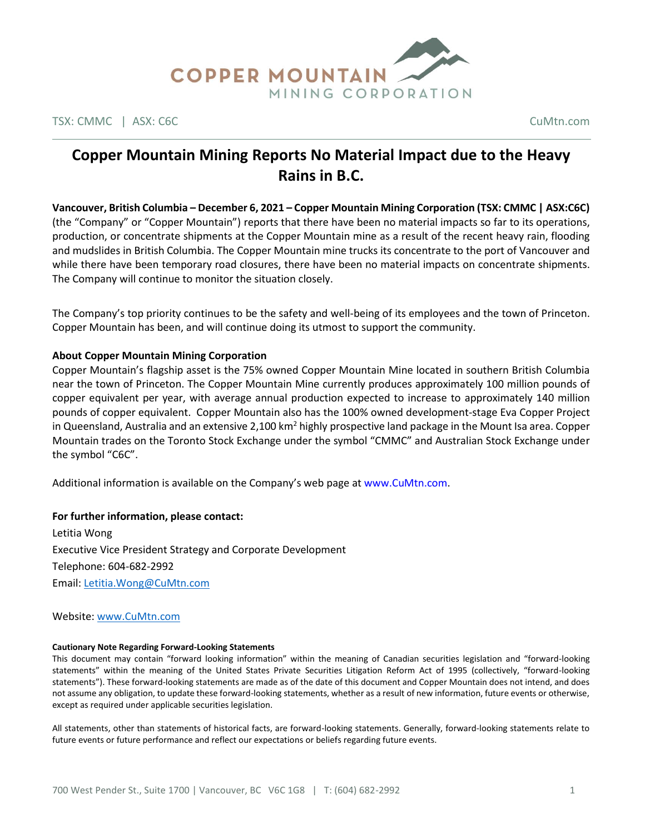

TSX: CMMC | ASX: C6C CuMtn.com

# **Copper Mountain Mining Reports No Material Impact due to the Heavy Rains in B.C.**

**Vancouver, British Columbia – December 6, 2021 – Copper Mountain Mining Corporation (TSX: CMMC | ASX:C6C)**  (the "Company" or "Copper Mountain") reports that there have been no material impacts so far to its operations, production, or concentrate shipments at the Copper Mountain mine as a result of the recent heavy rain, flooding and mudslides in British Columbia. The Copper Mountain mine trucks its concentrate to the port of Vancouver and while there have been temporary road closures, there have been no material impacts on concentrate shipments. The Company will continue to monitor the situation closely.

The Company's top priority continues to be the safety and well-being of its employees and the town of Princeton. Copper Mountain has been, and will continue doing its utmost to support the community.

# **About Copper Mountain Mining Corporation**

Copper Mountain's flagship asset is the 75% owned Copper Mountain Mine located in southern British Columbia near the town of Princeton. The Copper Mountain Mine currently produces approximately 100 million pounds of copper equivalent per year, with average annual production expected to increase to approximately 140 million pounds of copper equivalent. Copper Mountain also has the 100% owned development-stage Eva Copper Project in Queensland, Australia and an extensive 2,100 km<sup>2</sup> highly prospective land package in the Mount Isa area. Copper Mountain trades on the Toronto Stock Exchange under the symbol "CMMC" and Australian Stock Exchange under the symbol "C6C".

Additional information is available on the Company's web page at www.CuMtn.com.

# **For further information, please contact:**

Letitia Wong Executive Vice President Strategy and Corporate Development Telephone: 604-682-2992 Email[: Letitia.Wong@CuMtn.com](mailto:Letitia.Wong@CuMtn.com)

### Website: [www.CuMtn.com](http://www.cumtn.com/)

### **Cautionary Note Regarding Forward-Looking Statements**

This document may contain "forward looking information" within the meaning of Canadian securities legislation and "forward-looking statements" within the meaning of the United States Private Securities Litigation Reform Act of 1995 (collectively, "forward-looking statements"). These forward-looking statements are made as of the date of this document and Copper Mountain does not intend, and does not assume any obligation, to update these forward-looking statements, whether as a result of new information, future events or otherwise, except as required under applicable securities legislation.

All statements, other than statements of historical facts, are forward-looking statements. Generally, forward-looking statements relate to future events or future performance and reflect our expectations or beliefs regarding future events.